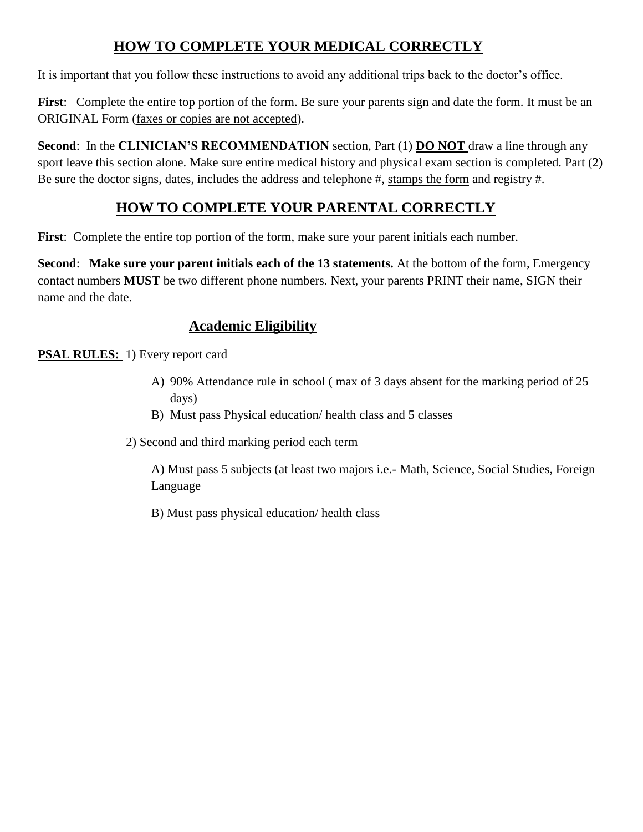# **HOW TO COMPLETE YOUR MEDICAL CORRECTLY**

It is important that you follow these instructions to avoid any additional trips back to the doctor's office.

**First**: Complete the entire top portion of the form. Be sure your parents sign and date the form. It must be an ORIGINAL Form (faxes or copies are not accepted).

**Second**: In the **CLINICIAN'S RECOMMENDATION** section, Part (1) **DO NOT** draw a line through any sport leave this section alone. Make sure entire medical history and physical exam section is completed. Part (2) Be sure the doctor signs, dates, includes the address and telephone #, stamps the form and registry #.

# **HOW TO COMPLETE YOUR PARENTAL CORRECTLY**

**First**: Complete the entire top portion of the form, make sure your parent initials each number.

**Second**: **Make sure your parent initials each of the 13 statements.** At the bottom of the form, Emergency contact numbers **MUST** be two different phone numbers. Next, your parents PRINT their name, SIGN their name and the date.

# **Academic Eligibility**

**PSAL RULES:** 1) Every report card

- A) 90% Attendance rule in school ( max of 3 days absent for the marking period of 25 days)
- B) Must pass Physical education/ health class and 5 classes
- 2) Second and third marking period each term

A) Must pass 5 subjects (at least two majors i.e.- Math, Science, Social Studies, Foreign Language

B) Must pass physical education/ health class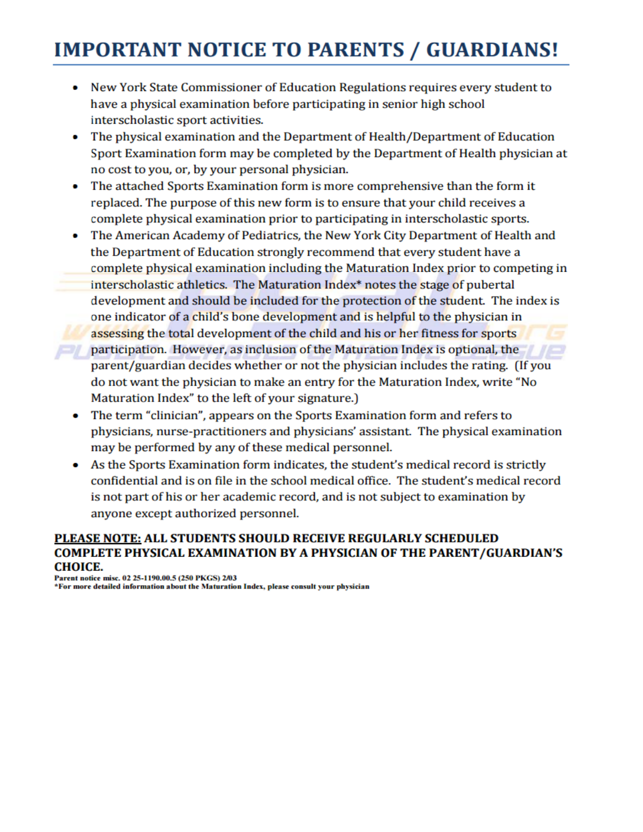# **IMPORTANT NOTICE TO PARENTS / GUARDIANS!**

- New York State Commissioner of Education Regulations requires every student to  $\bullet$ have a physical examination before participating in senior high school interscholastic sport activities.
- The physical examination and the Department of Health/Department of Education  $\bullet$ Sport Examination form may be completed by the Department of Health physician at no cost to you, or, by your personal physician.
- The attached Sports Examination form is more comprehensive than the form it ۰ replaced. The purpose of this new form is to ensure that your child receives a complete physical examination prior to participating in interscholastic sports.
- The American Academy of Pediatrics, the New York City Department of Health and ۰ the Department of Education strongly recommend that every student have a complete physical examination including the Maturation Index prior to competing in interscholastic athletics. The Maturation Index<sup>\*</sup> notes the stage of pubertal development and should be included for the protection of the student. The index is one indicator of a child's bone development and is helpful to the physician in assessing the total development of the child and his or her fitness for sports participation. However, as inclusion of the Maturation Index is optional, the parent/guardian decides whether or not the physician includes the rating. (If you do not want the physician to make an entry for the Maturation Index, write "No Maturation Index" to the left of your signature.)
- The term "clinician", appears on the Sports Examination form and refers to physicians, nurse-practitioners and physicians' assistant. The physical examination may be performed by any of these medical personnel.
- As the Sports Examination form indicates, the student's medical record is strictly confidential and is on file in the school medical office. The student's medical record is not part of his or her academic record, and is not subject to examination by anyone except authorized personnel.

## PLEASE NOTE: ALL STUDENTS SHOULD RECEIVE REGULARLY SCHEDULED **COMPLETE PHYSICAL EXAMINATION BY A PHYSICIAN OF THE PARENT/GUARDIAN'S CHOICE.**

Parent notice misc. 02 25-1190.00.5 (250 PKGS) 2/03 \*For more detailed information about the Maturation Index, please consult your physician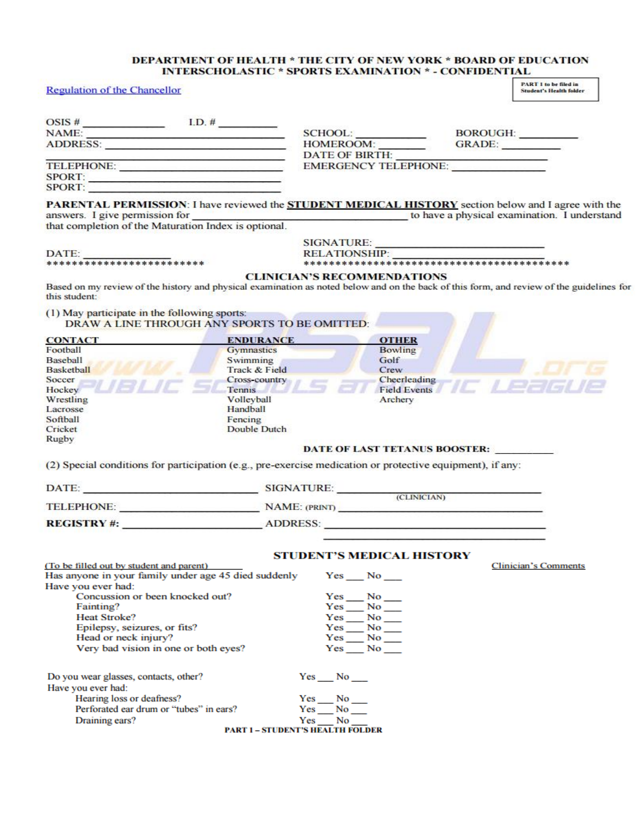### DEPARTMENT OF HEALTH \* THE CITY OF NEW YORK \* BOARD OF EDUCATION INTERSCHOLASTIC \* SPORTS EXAMINATION \* - CONFIDENTIAL

| <b>Regulation of the Chancellor</b>                                                                                                                                                                       |                                                                                                                                                                                                                                                       |                                         |                                    | <b>PART 1 to be filed in</b><br><b>Student's Health folder</b> |
|-----------------------------------------------------------------------------------------------------------------------------------------------------------------------------------------------------------|-------------------------------------------------------------------------------------------------------------------------------------------------------------------------------------------------------------------------------------------------------|-----------------------------------------|------------------------------------|----------------------------------------------------------------|
|                                                                                                                                                                                                           |                                                                                                                                                                                                                                                       |                                         |                                    |                                                                |
| NAME:                                                                                                                                                                                                     |                                                                                                                                                                                                                                                       |                                         |                                    | BOROUGH: _________                                             |
| ADDRESS:                                                                                                                                                                                                  |                                                                                                                                                                                                                                                       |                                         | HOMEROOM: GRADE:                   |                                                                |
| states of the second control to the second country control of the                                                                                                                                         |                                                                                                                                                                                                                                                       |                                         | DATE OF BIRTH: NAME OF BIRTH       |                                                                |
| TELEPHONE:                                                                                                                                                                                                |                                                                                                                                                                                                                                                       |                                         | EMERGENCY TELEPHONE:               |                                                                |
| SPORT: $\qquad \qquad$                                                                                                                                                                                    |                                                                                                                                                                                                                                                       |                                         |                                    |                                                                |
| SPORT:                                                                                                                                                                                                    |                                                                                                                                                                                                                                                       |                                         |                                    |                                                                |
| PARENTAL PERMISSION: I have reviewed the <b>STUDENT MEDICAL HISTORY</b> section below and I agree with the<br>answers. I give permission for that completion of the Maturation Index is optional.         |                                                                                                                                                                                                                                                       |                                         |                                    | to have a physical examination. I understand                   |
|                                                                                                                                                                                                           |                                                                                                                                                                                                                                                       |                                         |                                    |                                                                |
|                                                                                                                                                                                                           |                                                                                                                                                                                                                                                       |                                         | SIGNATURE:                         |                                                                |
|                                                                                                                                                                                                           |                                                                                                                                                                                                                                                       |                                         |                                    |                                                                |
| DATE:<br>**************************                                                                                                                                                                       |                                                                                                                                                                                                                                                       |                                         |                                    |                                                                |
| Based on my review of the history and physical examination as noted below and on the back of this form, and review of the guidelines for<br>this student:<br>(1) May participate in the following sports: |                                                                                                                                                                                                                                                       |                                         | <b>CLINICIAN'S RECOMMENDATIONS</b> |                                                                |
| DRAW A LINE THROUGH ANY SPORTS TO BE OMITTED:                                                                                                                                                             |                                                                                                                                                                                                                                                       |                                         |                                    |                                                                |
| <b>CONTACT</b>                                                                                                                                                                                            | <b>ENDURANCE</b>                                                                                                                                                                                                                                      |                                         | <b>OTHER</b>                       |                                                                |
| Football                                                                                                                                                                                                  | Gymnastics                                                                                                                                                                                                                                            |                                         | <b>Bowling</b>                     |                                                                |
| Baseball                                                                                                                                                                                                  | Swimming                                                                                                                                                                                                                                              |                                         | Golf                               |                                                                |
| Basketball<br>Soccer                                                                                                                                                                                      | Track & Field                                                                                                                                                                                                                                         |                                         | Crew                               |                                                                |
| Hockey                                                                                                                                                                                                    | Cross-country<br>Tennis <b>Communist Communist Communist Communist Communist Communist Communist Communist Communist Communist Communist Communist Communist Communist Communist Communist Communist Communist Communist Communist Communist Comm</b> |                                         |                                    | Cheerleading<br>Field Events <b>ALCORATION</b>                 |
| Wrestling                                                                                                                                                                                                 | Volleyball                                                                                                                                                                                                                                            |                                         | Archery                            |                                                                |
| Lacrosse                                                                                                                                                                                                  | Handball                                                                                                                                                                                                                                              |                                         |                                    |                                                                |
| Softball                                                                                                                                                                                                  | Fencing                                                                                                                                                                                                                                               |                                         |                                    |                                                                |
| Cricket                                                                                                                                                                                                   | Double Dutch                                                                                                                                                                                                                                          |                                         |                                    |                                                                |
| Rugby                                                                                                                                                                                                     |                                                                                                                                                                                                                                                       |                                         |                                    |                                                                |
| (2) Special conditions for participation (e.g., pre-exercise medication or protective equipment), if any:                                                                                                 |                                                                                                                                                                                                                                                       |                                         | DATE OF LAST TETANUS BOOSTER:      |                                                                |
| DATE: SIGNATURE: CLINICIAN)                                                                                                                                                                               |                                                                                                                                                                                                                                                       |                                         |                                    |                                                                |
|                                                                                                                                                                                                           |                                                                                                                                                                                                                                                       |                                         |                                    |                                                                |
| TELEPHONE: NAME: (PRINT)                                                                                                                                                                                  |                                                                                                                                                                                                                                                       |                                         |                                    |                                                                |
| REGISTRY #: ADDRESS:                                                                                                                                                                                      |                                                                                                                                                                                                                                                       |                                         |                                    |                                                                |
|                                                                                                                                                                                                           |                                                                                                                                                                                                                                                       |                                         |                                    |                                                                |
|                                                                                                                                                                                                           |                                                                                                                                                                                                                                                       |                                         | <b>STUDENT'S MEDICAL HISTORY</b>   |                                                                |
| (To be filled out by student and parent)                                                                                                                                                                  |                                                                                                                                                                                                                                                       |                                         |                                    | <b>Clinician's Comments</b>                                    |
| Has anyone in your family under age 45 died suddenly                                                                                                                                                      |                                                                                                                                                                                                                                                       | Yes No                                  |                                    |                                                                |
| Have you ever had:                                                                                                                                                                                        |                                                                                                                                                                                                                                                       |                                         |                                    |                                                                |
| Concussion or been knocked out?                                                                                                                                                                           |                                                                                                                                                                                                                                                       |                                         |                                    |                                                                |
| Fainting?                                                                                                                                                                                                 |                                                                                                                                                                                                                                                       | $Yes$ No                                |                                    |                                                                |
| <b>Heat Stroke?</b><br>Epilepsy, seizures, or fits?                                                                                                                                                       |                                                                                                                                                                                                                                                       | $Yes \_ No \_$<br>$Yes$ No $\_\_$       |                                    |                                                                |
| Head or neck injury?                                                                                                                                                                                      |                                                                                                                                                                                                                                                       | $Yes \_ No \_$                          |                                    |                                                                |
| Very bad vision in one or both eyes?                                                                                                                                                                      |                                                                                                                                                                                                                                                       | $Yes$ No $\blacksquare$                 |                                    |                                                                |
| Do you wear glasses, contacts, other?                                                                                                                                                                     |                                                                                                                                                                                                                                                       | Yes No                                  |                                    |                                                                |
| Have you ever had:                                                                                                                                                                                        |                                                                                                                                                                                                                                                       |                                         |                                    |                                                                |
| Hearing loss or deafness?                                                                                                                                                                                 |                                                                                                                                                                                                                                                       | $Yes$ No $\_\_$                         |                                    |                                                                |
| Perforated ear drum or "tubes" in ears?                                                                                                                                                                   |                                                                                                                                                                                                                                                       | Yes No                                  |                                    |                                                                |
| Draining ears?                                                                                                                                                                                            |                                                                                                                                                                                                                                                       | Yes No                                  |                                    |                                                                |
|                                                                                                                                                                                                           |                                                                                                                                                                                                                                                       | <b>PART 1 – STUDENT'S HEALTH FOLDER</b> |                                    |                                                                |